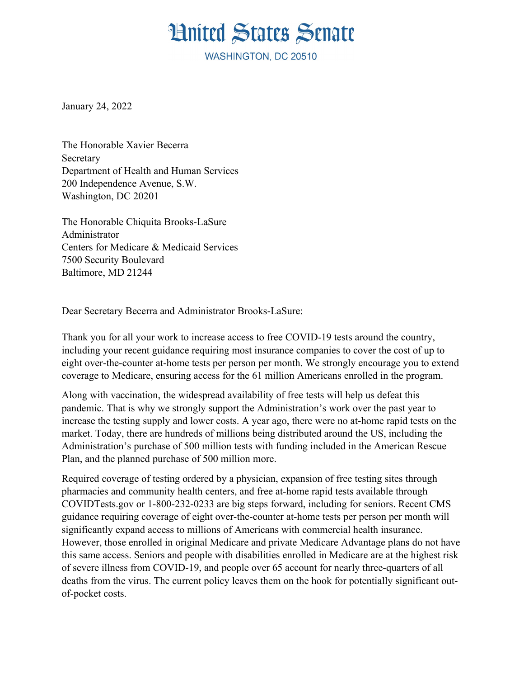## **Hnited States Senate**

**WASHINGTON, DC 20510** 

January 24, 2022

The Honorable Xavier Becerra **Secretary** Department of Health and Human Services 200 Independence Avenue, S.W. Washington, DC 20201

The Honorable Chiquita Brooks-LaSure Administrator Centers for Medicare & Medicaid Services 7500 Security Boulevard Baltimore, MD 21244

Dear Secretary Becerra and Administrator Brooks-LaSure:

Thank you for all your work to increase access to free COVID-19 tests around the country, including your recent guidance requiring most insurance companies to cover the cost of up to eight over-the-counter at-home tests per person per month. We strongly encourage you to extend coverage to Medicare, ensuring access for the 61 million Americans enrolled in the program.

Along with vaccination, the widespread availability of free tests will help us defeat this pandemic. That is why we strongly support the Administration's work over the past year to increase the testing supply and lower costs. A year ago, there were no at-home rapid tests on the market. Today, there are hundreds of millions being distributed around the US, including the Administration's purchase of 500 million tests with funding included in the American Rescue Plan, and the planned purchase of 500 million more.

Required coverage of testing ordered by a physician, expansion of free testing sites through pharmacies and community health centers, and free at-home rapid tests available through COVIDTests.gov or 1-800-232-0233 are big steps forward, including for seniors. Recent CMS guidance requiring coverage of eight over-the-counter at-home tests per person per month will significantly expand access to millions of Americans with commercial health insurance. However, those enrolled in original Medicare and private Medicare Advantage plans do not have this same access. Seniors and people with disabilities enrolled in Medicare are at the highest risk of severe illness from COVID-19, and people over 65 account for nearly three-quarters of all deaths from the virus. The current policy leaves them on the hook for potentially significant outof-pocket costs.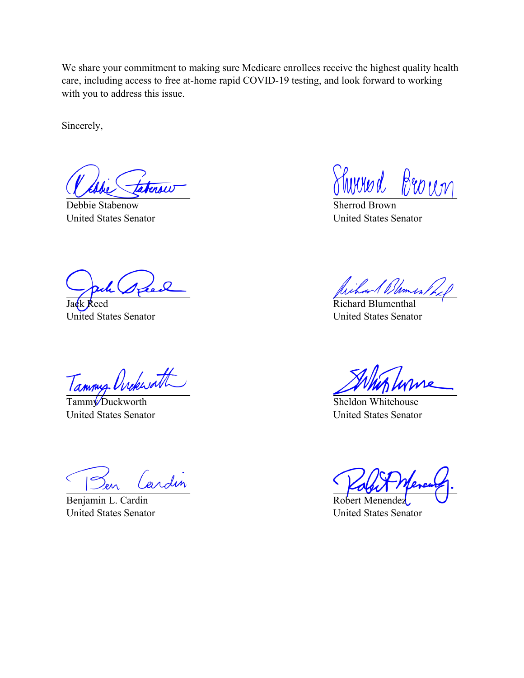We share your commitment to making sure Medicare enrollees receive the highest quality health care, including access to free at-home rapid COVID-19 testing, and look forward to working with you to address this issue.

Sincerely,

ersi

Debbie Stabenow United States Senator

Jack Reed United States Senator

Tammy Orckworth

United States Senator

Cardin  $\epsilon$ 

Benjamin L. Cardin United States Senator

Shirred Brown

Sherrod Brown United States Senator

ichard Dumest

Richard Blumenthal United States Senator

Sheldon Whitehouse United States Senator

Robert Menendez United States Senator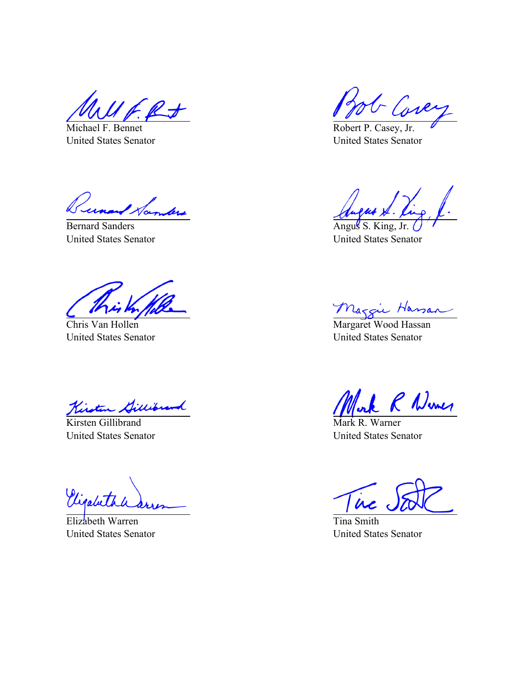Michael F. Bennet United States Senator

Tunand Hambers

Bernard Sanders United States Senator

Chris Van Hollen United States Senator

Kirsten Gillibrand

United States Senator

Vigaleta

Elizabeth Warren United States Senator

G Core

Robert P. Casey, Jr. United States Senator

Angus S. King, United States Senator

Maggie Hassan

United States Senator

Work R Wines

United States Senator

 $\overline{\dot{a}}$ 

Tina Smith United States Senator